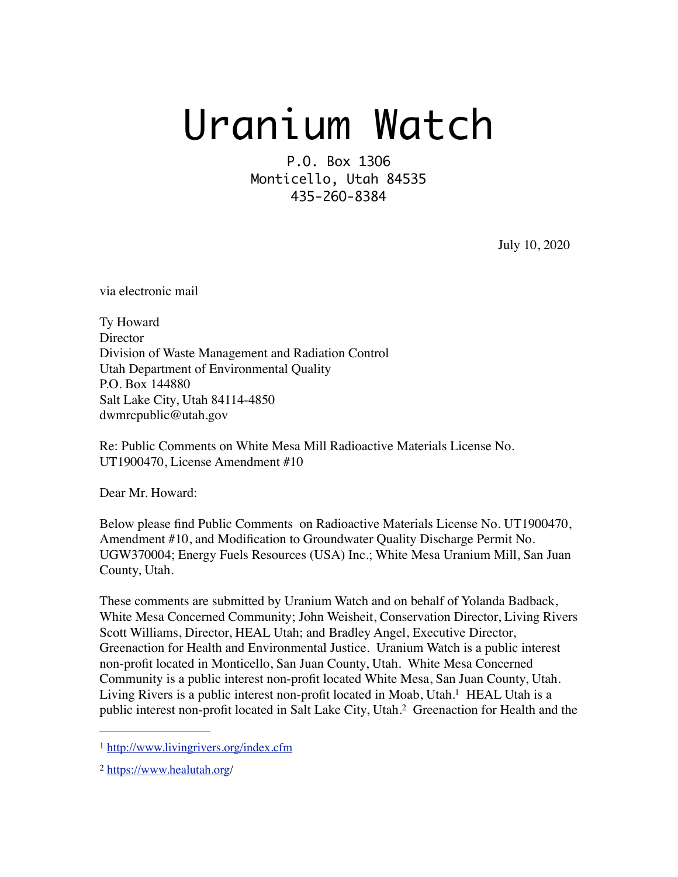# Uranium Watch

P.O. Box 13O6 Monticello, Utah 84535 435-26O-8384

July 10, 2020

via electronic mail

Ty Howard **Director** Division of Waste Management and Radiation Control Utah Department of Environmental Quality P.O. Box 144880 Salt Lake City, Utah 84114-4850 dwmrcpublic@utah.gov

Re: Public Comments on White Mesa Mill Radioactive Materials License No. UT1900470, License Amendment #10

Dear Mr. Howard:

Below please find Public Comments on Radioactive Materials License No. UT1900470, Amendment #10, and Modification to Groundwater Quality Discharge Permit No. UGW370004; Energy Fuels Resources (USA) Inc.; White Mesa Uranium Mill, San Juan County, Utah.

These comments are submitted by Uranium Watch and on behalf of Yolanda Badback, White Mesa Concerned Community; John Weisheit, Conservation Director, Living Rivers Scott Williams, Director, HEAL Utah; and Bradley Angel, Executive Director, Greenaction for Health and Environmental Justice. Uranium Watch is a public interest non-profit located in Monticello, San Juan County, Utah. White Mesa Concerned Community is a public interest non-profit located White Mesa, San Juan County, Utah. Living Rivers is a public interest non-profit located in Moab, Utah.<sup>1</sup> HEAL Utah is a public interest non-profit located in Salt Lake City, Utah[.2](#page-0-1) Greenaction for Health and the

<span id="page-0-0"></span><sup>1</sup> <http://www.livingrivers.org/index.cfm>

<span id="page-0-1"></span><sup>2</sup> [https://www.healutah.org/](https://www.healutah.org)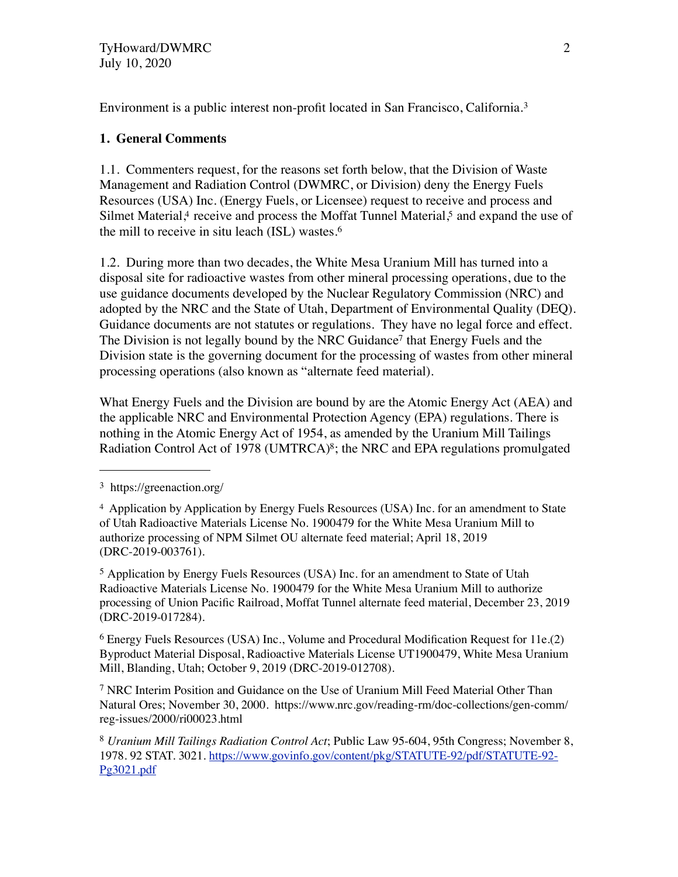Environment is a public interest non-profit located in San Francisco, California.[3](#page-1-0) 

## **1. General Comments**

1.1.Commenters request, for the reasons set forth below, that the Division of Waste Management and Radiation Control (DWMRC, or Division) deny the Energy Fuels Resources (USA) Inc. (Energy Fuels, or Licensee) request to receive and process and Silmet Material,<sup>4</sup> receive and process the Moffat Tunnel Material,<sup>5</sup> and expand the use of the mill to receive in situ leach (ISL) wastes.[6](#page-1-3)

1.2. During more than two decades, the White Mesa Uranium Mill has turned into a disposal site for radioactive wastes from other mineral processing operations, due to the use guidance documents developed by the Nuclear Regulatory Commission (NRC) and adopted by the NRC and the State of Utah, Department of Environmental Quality (DEQ). Guidance documents are not statutes or regulations. They have no legal force and effect. The Division is not legally bound by the NRC Guidance<sup>7</sup> that Energy Fuels and the Division state is the governing document for the processing of wastes from other mineral processing operations (also known as "alternate feed material).

What Energy Fuels and the Division are bound by are the Atomic Energy Act (AEA) and the applicable NRC and Environmental Protection Agency (EPA) regulations. There is nothing in the Atomic Energy Act of 1954, as amended by the Uranium Mill Tailings Radiation Control Act of 1978 (UMTRCA)<sup>8</sup>; the NRC and EPA regulations promulgated

<span id="page-1-2"></span><sup>5</sup> Application by Energy Fuels Resources (USA) Inc. for an amendment to State of Utah Radioactive Materials License No. 1900479 for the White Mesa Uranium Mill to authorize processing of Union Pacific Railroad, Moffat Tunnel alternate feed material, December 23, 2019 (DRC-2019-017284).

<span id="page-1-3"></span><sup>6</sup> Energy Fuels Resources (USA) Inc., Volume and Procedural Modification Request for 11e.(2) Byproduct Material Disposal, Radioactive Materials License UT1900479, White Mesa Uranium Mill, Blanding, Utah; October 9, 2019 (DRC-2019-012708).

<span id="page-1-4"></span>7 NRC Interim Position and Guidance on the Use of Uranium Mill Feed Material Other Than Natural Ores; November 30, 2000. https://www.nrc.gov/reading-rm/doc-collections/gen-comm/ reg-issues/2000/ri00023.html

<span id="page-1-5"></span><sup>8</sup> *Uranium Mill Tailings Radiation Control Act*; Public Law 95-604, 95th Congress; November 8, 1978. 92 STAT. 3021. [https://www.govinfo.gov/content/pkg/STATUTE-92/pdf/STATUTE-92-](https://www.govinfo.gov/content/pkg/STATUTE-92/pdf/STATUTE-92-Pg3021.pdf) [Pg3021.pdf](https://www.govinfo.gov/content/pkg/STATUTE-92/pdf/STATUTE-92-Pg3021.pdf)

<span id="page-1-0"></span><sup>3</sup> https://greenaction.org/

<span id="page-1-1"></span><sup>4</sup> Application by Application by Energy Fuels Resources (USA) Inc. for an amendment to State of Utah Radioactive Materials License No. 1900479 for the White Mesa Uranium Mill to authorize processing of NPM Silmet OU alternate feed material; April 18, 2019 (DRC-2019-003761).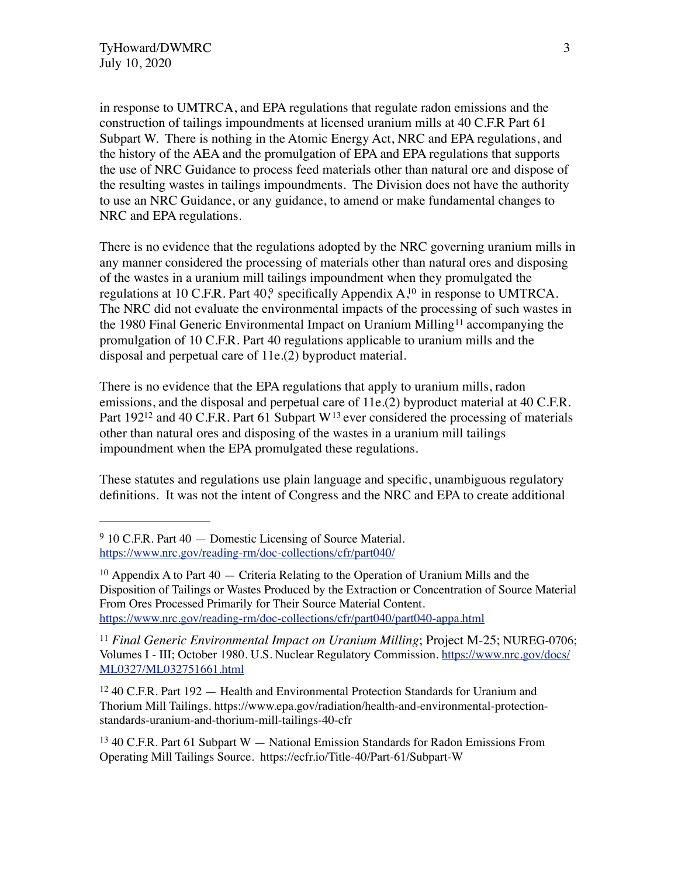in response to UMTRCA, and EPA regulations that regulate radon emissions and the construction of tailings impoundments at licensed uranium mills at 40 C.F.R Part 61 Subpart W. There is nothing in the Atomic Energy Act, NRC and EPA regulations, and the history of the AEA and the promulgation of EPA and EPA regulations that supports the use of NRC Guidance to process feed materials other than natural ore and dispose of the resulting wastes in tailings impoundments. The Division does not have the authority to use an NRC Guidance, or any guidance, to amend or make fundamental changes to NRC and EPA regulations.

There is no evidence that the regulations adopted by the NRC governing uranium mills in any manner considered the processing of materials other than natural ores and disposing of the wastes in a uranium mill tailings impoundment when they promulgated the regulations at 10 C.F.R. Part  $40$ , specifically Appendix  $A$ ,<sup>10</sup> in response to UMTRCA. The NRC did not evaluate the environmental impacts of the processing of such wastes in the 1980 Final Generic Environmental Impact on Uranium Milling<sup>11</sup> accompanying the promulgation of 10 C.F.R. Part 40 regulations applicable to uranium mills and the disposal and perpetual care of 11e.(2) byproduct material.

There is no evidence that the EPA regulations that apply to uranium mills, radon emissions, and the disposal and perpetual care of 11e.(2) byproduct material at 40 C.F.R. Part 192<sup>12</sup> and 40 C.F.R. Part 61 Subpart W<sup>[13](#page-2-4)</sup> ever considered the processing of materials other than natural ores and disposing of the wastes in a uranium mill tailings impoundment when the EPA promulgated these regulations.

These statutes and regulations use plain language and specific, unambiguous regulatory definitions. It was not the intent of Congress and the NRC and EPA to create additional

<span id="page-2-0"></span><sup>&</sup>lt;sup>9</sup> 10 C.F.R. Part 40 — Domestic Licensing of Source Material. <https://www.nrc.gov/reading-rm/doc-collections/cfr/part040/>

<span id="page-2-1"></span><sup>&</sup>lt;sup>10</sup> Appendix A to Part  $40 -$  Criteria Relating to the Operation of Uranium Mills and the Disposition of Tailings or Wastes Produced by the Extraction or Concentration of Source Material From Ores Processed Primarily for Their Source Material Content. <https://www.nrc.gov/reading-rm/doc-collections/cfr/part040/part040-appa.html>

<span id="page-2-2"></span><sup>11</sup> *Final Generic Environmental Impact on Uranium Milling*; Project M-25; NUREG-0706; Volumes I - III; October 1980. U.S. Nuclear Regulatory Commission. [https://www.nrc.gov/docs/](https://www.nrc.gov/docs/ML0327/ML032751663.pdf) [ML0327/ML032751661.html](https://www.nrc.gov/docs/ML0327/ML032751663.pdf)

<span id="page-2-3"></span><sup>12 40</sup> C.F.R. Part 192 — Health and Environmental Protection Standards for Uranium and Thorium Mill Tailings. https://www.epa.gov/radiation/health-and-environmental-protectionstandards-uranium-and-thorium-mill-tailings-40-cfr

<span id="page-2-4"></span><sup>13 40</sup> C.F.R. Part 61 Subpart W — National Emission Standards for Radon Emissions From Operating Mill Tailings Source. https://ecfr.io/Title-40/Part-61/Subpart-W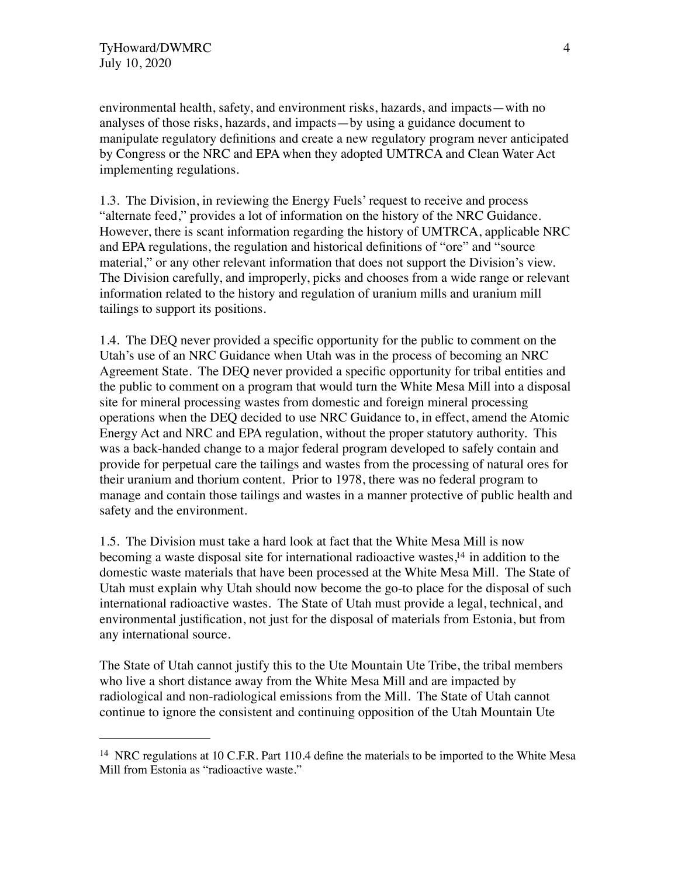environmental health, safety, and environment risks, hazards, and impacts—with no analyses of those risks, hazards, and impacts—by using a guidance document to manipulate regulatory definitions and create a new regulatory program never anticipated by Congress or the NRC and EPA when they adopted UMTRCA and Clean Water Act implementing regulations.

1.3. The Division, in reviewing the Energy Fuels' request to receive and process "alternate feed," provides a lot of information on the history of the NRC Guidance. However, there is scant information regarding the history of UMTRCA, applicable NRC and EPA regulations, the regulation and historical definitions of "ore" and "source material," or any other relevant information that does not support the Division's view. The Division carefully, and improperly, picks and chooses from a wide range or relevant information related to the history and regulation of uranium mills and uranium mill tailings to support its positions.

1.4. The DEQ never provided a specific opportunity for the public to comment on the Utah's use of an NRC Guidance when Utah was in the process of becoming an NRC Agreement State. The DEQ never provided a specific opportunity for tribal entities and the public to comment on a program that would turn the White Mesa Mill into a disposal site for mineral processing wastes from domestic and foreign mineral processing operations when the DEQ decided to use NRC Guidance to, in effect, amend the Atomic Energy Act and NRC and EPA regulation, without the proper statutory authority. This was a back-handed change to a major federal program developed to safely contain and provide for perpetual care the tailings and wastes from the processing of natural ores for their uranium and thorium content. Prior to 1978, there was no federal program to manage and contain those tailings and wastes in a manner protective of public health and safety and the environment.

1.5. The Division must take a hard look at fact that the White Mesa Mill is now becoming a waste disposal site for international radioactive wastes[,14](#page-3-0) in addition to the domestic waste materials that have been processed at the White Mesa Mill. The State of Utah must explain why Utah should now become the go-to place for the disposal of such international radioactive wastes. The State of Utah must provide a legal, technical, and environmental justification, not just for the disposal of materials from Estonia, but from any international source.

The State of Utah cannot justify this to the Ute Mountain Ute Tribe, the tribal members who live a short distance away from the White Mesa Mill and are impacted by radiological and non-radiological emissions from the Mill. The State of Utah cannot continue to ignore the consistent and continuing opposition of the Utah Mountain Ute

<span id="page-3-0"></span><sup>&</sup>lt;sup>14</sup> NRC regulations at 10 C.F.R. Part 110.4 define the materials to be imported to the White Mesa Mill from Estonia as "radioactive waste."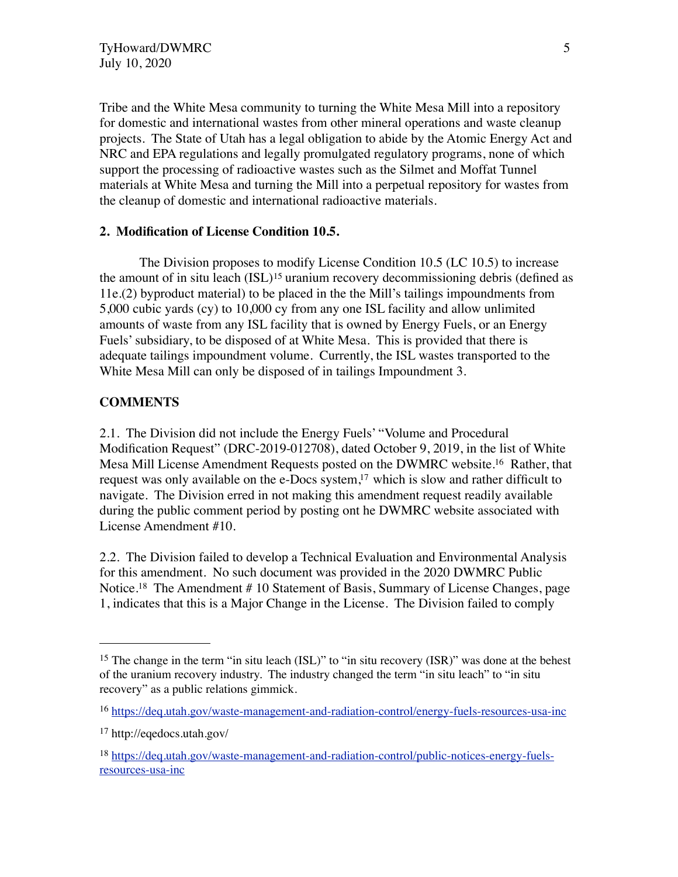Tribe and the White Mesa community to turning the White Mesa Mill into a repository for domestic and international wastes from other mineral operations and waste cleanup projects. The State of Utah has a legal obligation to abide by the Atomic Energy Act and NRC and EPA regulations and legally promulgated regulatory programs, none of which support the processing of radioactive wastes such as the Silmet and Moffat Tunnel materials at White Mesa and turning the Mill into a perpetual repository for wastes from the cleanup of domestic and international radioactive materials.

#### **2. Modification of License Condition 10.5.**

The Division proposes to modify License Condition 10.5 (LC 10.5) to increase the amount of in situ leach  $(ISL)^{15}$  uranium recovery decommissioning debris (defined as 11e.(2) byproduct material) to be placed in the the Mill's tailings impoundments from 5,000 cubic yards (cy) to 10,000 cy from any one ISL facility and allow unlimited amounts of waste from any ISL facility that is owned by Energy Fuels, or an Energy Fuels' subsidiary, to be disposed of at White Mesa. This is provided that there is adequate tailings impoundment volume. Currently, the ISL wastes transported to the White Mesa Mill can only be disposed of in tailings Impoundment 3.

## **COMMENTS**

2.1. The Division did not include the Energy Fuels' "Volume and Procedural Modification Request" (DRC-2019-012708), dated October 9, 2019, in the list of White Mesa Mill License Amendment Requests posted on the DWMRC website[.16](#page-4-1) Rather, that request was only available on the e-Docs system,<sup>17</sup> which is slow and rather difficult to navigate. The Division erred in not making this amendment request readily available during the public comment period by posting ont he DWMRC website associated with License Amendment #10.

2.2. The Division failed to develop a Technical Evaluation and Environmental Analysis for this amendment. No such document was provided in the 2020 DWMRC Public Notice.<sup>18</sup> The Amendment # 10 Statement of Basis, Summary of License Changes, page 1, indicates that this is a Major Change in the License. The Division failed to comply

<span id="page-4-0"></span><sup>&</sup>lt;sup>15</sup> The change in the term "in situ leach (ISL)" to "in situ recovery (ISR)" was done at the behest of the uranium recovery industry. The industry changed the term "in situ leach" to "in situ recovery" as a public relations gimmick.

<span id="page-4-1"></span><sup>16</sup> <https://deq.utah.gov/waste-management-and-radiation-control/energy-fuels-resources-usa-inc>

<span id="page-4-2"></span><sup>17</sup> http://eqedocs.utah.gov/

<span id="page-4-3"></span><sup>18</sup> [https://deq.utah.gov/waste-management-and-radiation-control/public-notices-energy-fuels](https://deq.utah.gov/waste-management-and-radiation-control/public-notices-energy-fuels-resources-usa-inc)[resources-usa-inc](https://deq.utah.gov/waste-management-and-radiation-control/public-notices-energy-fuels-resources-usa-inc)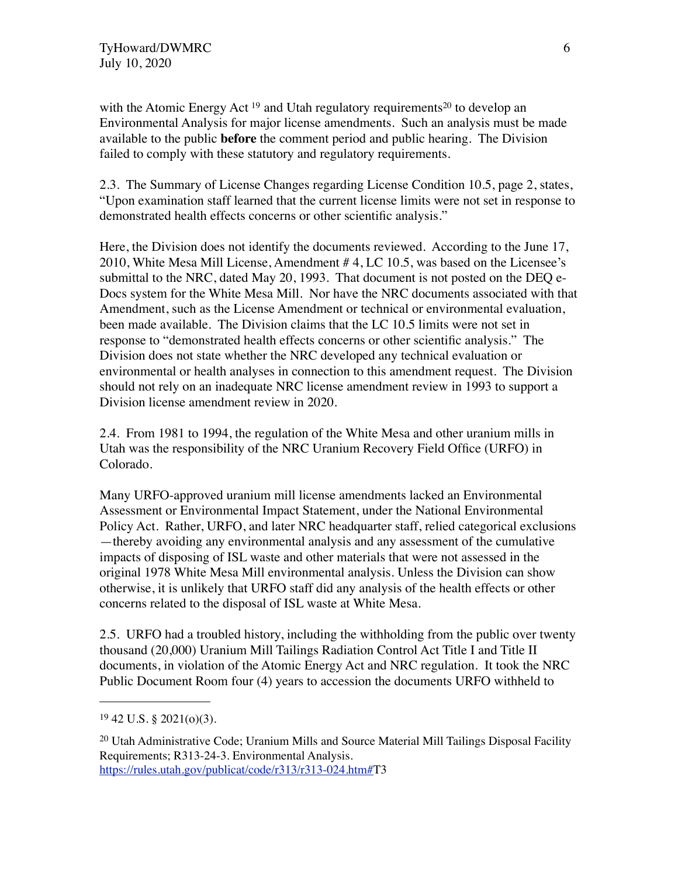with the Atomic Energy Act  $19$  and Utah regulatory requirements<sup>20</sup> to develop an Environmental Analysis for major license amendments. Such an analysis must be made available to the public **before** the comment period and public hearing. The Division failed to comply with these statutory and regulatory requirements.

2.3. The Summary of License Changes regarding License Condition 10.5, page 2, states, "Upon examination staff learned that the current license limits were not set in response to demonstrated health effects concerns or other scientific analysis."

Here, the Division does not identify the documents reviewed. According to the June 17, 2010, White Mesa Mill License, Amendment # 4, LC 10.5, was based on the Licensee's submittal to the NRC, dated May 20, 1993. That document is not posted on the DEQ e-Docs system for the White Mesa Mill. Nor have the NRC documents associated with that Amendment, such as the License Amendment or technical or environmental evaluation, been made available. The Division claims that the LC 10.5 limits were not set in response to "demonstrated health effects concerns or other scientific analysis." The Division does not state whether the NRC developed any technical evaluation or environmental or health analyses in connection to this amendment request. The Division should not rely on an inadequate NRC license amendment review in 1993 to support a Division license amendment review in 2020.

2.4. From 1981 to 1994, the regulation of the White Mesa and other uranium mills in Utah was the responsibility of the NRC Uranium Recovery Field Office (URFO) in Colorado.

Many URFO-approved uranium mill license amendments lacked an Environmental Assessment or Environmental Impact Statement, under the National Environmental Policy Act. Rather, URFO, and later NRC headquarter staff, relied categorical exclusions —thereby avoiding any environmental analysis and any assessment of the cumulative impacts of disposing of ISL waste and other materials that were not assessed in the original 1978 White Mesa Mill environmental analysis. Unless the Division can show otherwise, it is unlikely that URFO staff did any analysis of the health effects or other concerns related to the disposal of ISL waste at White Mesa.

2.5. URFO had a troubled history, including the withholding from the public over twenty thousand (20,000) Uranium Mill Tailings Radiation Control Act Title I and Title II documents, in violation of the Atomic Energy Act and NRC regulation. It took the NRC Public Document Room four (4) years to accession the documents URFO withheld to

<span id="page-5-0"></span> $19\,42$  U.S. § 2021(o)(3).

<span id="page-5-1"></span><sup>&</sup>lt;sup>20</sup> Utah Administrative Code; Uranium Mills and Source Material Mill Tailings Disposal Facility Requirements; R313-24-3. Environmental Analysis. <https://rules.utah.gov/publicat/code/r313/r313-024.htm#>T3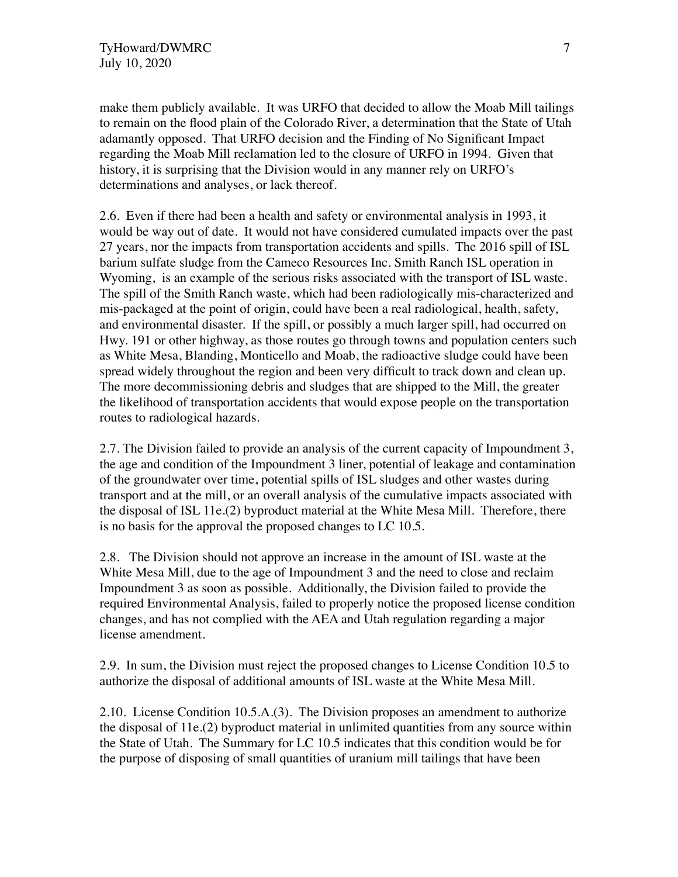make them publicly available. It was URFO that decided to allow the Moab Mill tailings to remain on the flood plain of the Colorado River, a determination that the State of Utah adamantly opposed. That URFO decision and the Finding of No Significant Impact regarding the Moab Mill reclamation led to the closure of URFO in 1994. Given that history, it is surprising that the Division would in any manner rely on URFO's determinations and analyses, or lack thereof.

2.6. Even if there had been a health and safety or environmental analysis in 1993, it would be way out of date. It would not have considered cumulated impacts over the past 27 years, nor the impacts from transportation accidents and spills. The 2016 spill of ISL barium sulfate sludge from the Cameco Resources Inc. Smith Ranch ISL operation in Wyoming, is an example of the serious risks associated with the transport of ISL waste. The spill of the Smith Ranch waste, which had been radiologically mis-characterized and mis-packaged at the point of origin, could have been a real radiological, health, safety, and environmental disaster. If the spill, or possibly a much larger spill, had occurred on Hwy. 191 or other highway, as those routes go through towns and population centers such as White Mesa, Blanding, Monticello and Moab, the radioactive sludge could have been spread widely throughout the region and been very difficult to track down and clean up. The more decommissioning debris and sludges that are shipped to the Mill, the greater the likelihood of transportation accidents that would expose people on the transportation routes to radiological hazards.

2.7. The Division failed to provide an analysis of the current capacity of Impoundment 3, the age and condition of the Impoundment 3 liner, potential of leakage and contamination of the groundwater over time, potential spills of ISL sludges and other wastes during transport and at the mill, or an overall analysis of the cumulative impacts associated with the disposal of ISL 11e.(2) byproduct material at the White Mesa Mill. Therefore, there is no basis for the approval the proposed changes to LC 10.5.

2.8. The Division should not approve an increase in the amount of ISL waste at the White Mesa Mill, due to the age of Impoundment 3 and the need to close and reclaim Impoundment 3 as soon as possible. Additionally, the Division failed to provide the required Environmental Analysis, failed to properly notice the proposed license condition changes, and has not complied with the AEA and Utah regulation regarding a major license amendment.

2.9. In sum, the Division must reject the proposed changes to License Condition 10.5 to authorize the disposal of additional amounts of ISL waste at the White Mesa Mill.

2.10. License Condition 10.5.A.(3). The Division proposes an amendment to authorize the disposal of 11e.(2) byproduct material in unlimited quantities from any source within the State of Utah. The Summary for LC 10.5 indicates that this condition would be for the purpose of disposing of small quantities of uranium mill tailings that have been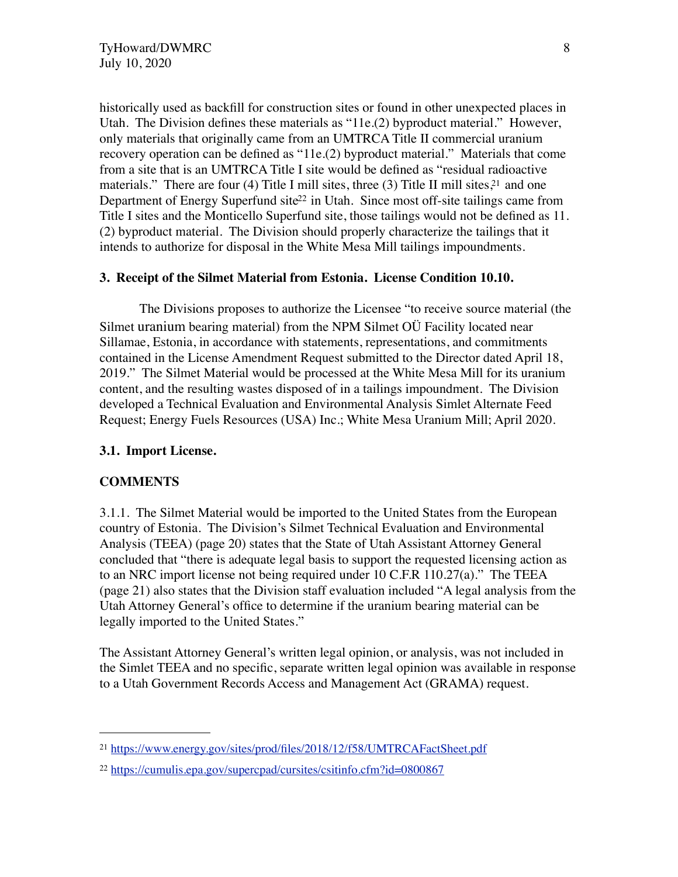historically used as backfill for construction sites or found in other unexpected places in Utah. The Division defines these materials as "11e.(2) byproduct material." However, only materials that originally came from an UMTRCA Title II commercial uranium recovery operation can be defined as "11e.(2) byproduct material." Materials that come from a site that is an UMTRCA Title I site would be defined as "residual radioactive materials." There are four (4) Title I mill sites, three (3) Title II mill sites,<sup>21</sup> and one Department of Energy Superfund site<sup>22</sup> in Utah. Since most off-site tailings came from Title I sites and the Monticello Superfund site, those tailings would not be defined as 11. (2) byproduct material. The Division should properly characterize the tailings that it intends to authorize for disposal in the White Mesa Mill tailings impoundments.

#### **3. Receipt of the Silmet Material from Estonia. License Condition 10.10.**

The Divisions proposes to authorize the Licensee "to receive source material (the Silmet uranium bearing material) from the NPM Silmet OÜ Facility located near Sillamae, Estonia, in accordance with statements, representations, and commitments contained in the License Amendment Request submitted to the Director dated April 18, 2019." The Silmet Material would be processed at the White Mesa Mill for its uranium content, and the resulting wastes disposed of in a tailings impoundment. The Division developed a Technical Evaluation and Environmental Analysis Simlet Alternate Feed Request; Energy Fuels Resources (USA) Inc.; White Mesa Uranium Mill; April 2020.

#### **3.1. Import License.**

#### **COMMENTS**

3.1.1. The Silmet Material would be imported to the United States from the European country of Estonia. The Division's Silmet Technical Evaluation and Environmental Analysis (TEEA) (page 20) states that the State of Utah Assistant Attorney General concluded that "there is adequate legal basis to support the requested licensing action as to an NRC import license not being required under  $10$  C.F.R  $110.27(a)$ ." The TEEA (page 21) also states that the Division staff evaluation included "A legal analysis from the Utah Attorney General's office to determine if the uranium bearing material can be legally imported to the United States."

The Assistant Attorney General's written legal opinion, or analysis, was not included in the Simlet TEEA and no specific, separate written legal opinion was available in response to a Utah Government Records Access and Management Act (GRAMA) request.

<span id="page-7-0"></span><sup>21</sup> <https://www.energy.gov/sites/prod/files/2018/12/f58/UMTRCAFactSheet.pdf>

<span id="page-7-1"></span><sup>22</sup> <https://cumulis.epa.gov/supercpad/cursites/csitinfo.cfm?id=0800867>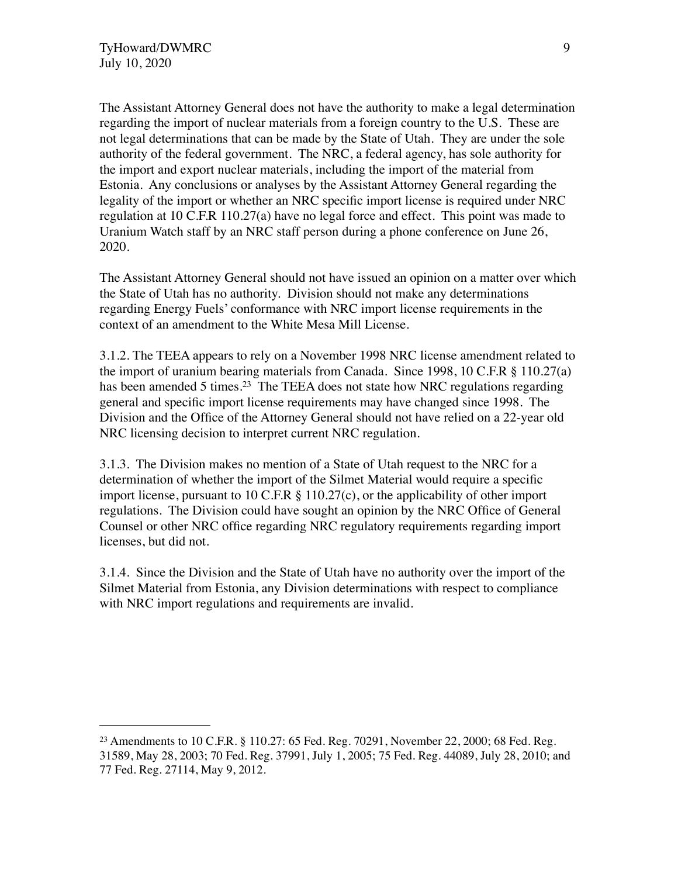The Assistant Attorney General does not have the authority to make a legal determination regarding the import of nuclear materials from a foreign country to the U.S. These are not legal determinations that can be made by the State of Utah. They are under the sole authority of the federal government. The NRC, a federal agency, has sole authority for the import and export nuclear materials, including the import of the material from Estonia. Any conclusions or analyses by the Assistant Attorney General regarding the legality of the import or whether an NRC specific import license is required under NRC regulation at 10 C.F.R 110.27(a) have no legal force and effect. This point was made to Uranium Watch staff by an NRC staff person during a phone conference on June 26, 2020.

The Assistant Attorney General should not have issued an opinion on a matter over which the State of Utah has no authority. Division should not make any determinations regarding Energy Fuels' conformance with NRC import license requirements in the context of an amendment to the White Mesa Mill License.

3.1.2. The TEEA appears to rely on a November 1998 NRC license amendment related to the import of uranium bearing materials from Canada. Since 1998, 10 C.F.R § 110.27(a) has been amended 5 times.<sup>23</sup> The TEEA does not state how NRC regulations regarding general and specific import license requirements may have changed since 1998. The Division and the Office of the Attorney General should not have relied on a 22-year old NRC licensing decision to interpret current NRC regulation.

3.1.3. The Division makes no mention of a State of Utah request to the NRC for a determination of whether the import of the Silmet Material would require a specific import license, pursuant to 10 C.F.R  $\S$  110.27(c), or the applicability of other import regulations. The Division could have sought an opinion by the NRC Office of General Counsel or other NRC office regarding NRC regulatory requirements regarding import licenses, but did not.

3.1.4. Since the Division and the State of Utah have no authority over the import of the Silmet Material from Estonia, any Division determinations with respect to compliance with NRC import regulations and requirements are invalid.

<span id="page-8-0"></span><sup>23</sup> Amendments to 10 C.F.R. § 110.27: 65 Fed. Reg. 70291, November 22, 2000; 68 Fed. Reg. 31589, May 28, 2003; 70 Fed. Reg. 37991, July 1, 2005; 75 Fed. Reg. 44089, July 28, 2010; and 77 Fed. Reg. 27114, May 9, 2012.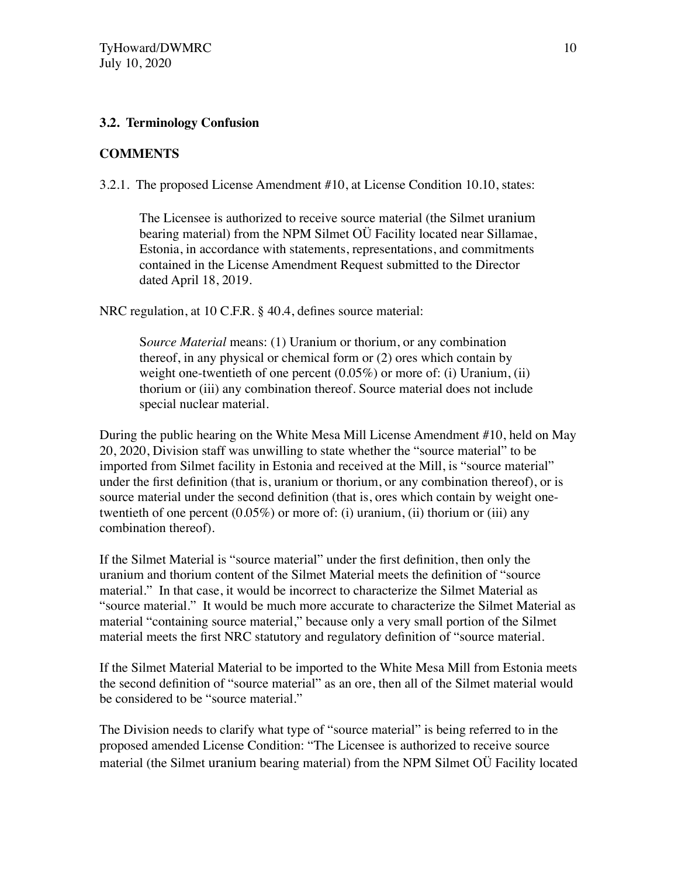#### **3.2. Terminology Confusion**

## **COMMENTS**

3.2.1. The proposed License Amendment #10, at License Condition 10.10, states:

The Licensee is authorized to receive source material (the Silmet uranium bearing material) from the NPM Silmet OÜ Facility located near Sillamae, Estonia, in accordance with statements, representations, and commitments contained in the License Amendment Request submitted to the Director dated April 18, 2019.

NRC regulation, at 10 C.F.R. § 40.4, defines source material:

S*ource Material* means: (1) Uranium or thorium, or any combination thereof, in any physical or chemical form or (2) ores which contain by weight one-twentieth of one percent  $(0.05\%)$  or more of: (i) Uranium, (ii) thorium or (iii) any combination thereof. Source material does not include special nuclear material.

During the public hearing on the White Mesa Mill License Amendment #10, held on May 20, 2020, Division staff was unwilling to state whether the "source material" to be imported from Silmet facility in Estonia and received at the Mill, is "source material" under the first definition (that is, uranium or thorium, or any combination thereof), or is source material under the second definition (that is, ores which contain by weight onetwentieth of one percent  $(0.05\%)$  or more of: (i) uranium, (ii) thorium or (iii) any combination thereof).

If the Silmet Material is "source material" under the first definition, then only the uranium and thorium content of the Silmet Material meets the definition of "source material." In that case, it would be incorrect to characterize the Silmet Material as "source material." It would be much more accurate to characterize the Silmet Material as material "containing source material," because only a very small portion of the Silmet material meets the first NRC statutory and regulatory definition of "source material.

If the Silmet Material Material to be imported to the White Mesa Mill from Estonia meets the second definition of "source material" as an ore, then all of the Silmet material would be considered to be "source material."

The Division needs to clarify what type of "source material" is being referred to in the proposed amended License Condition: "The Licensee is authorized to receive source material (the Silmet uranium bearing material) from the NPM Silmet OÜ Facility located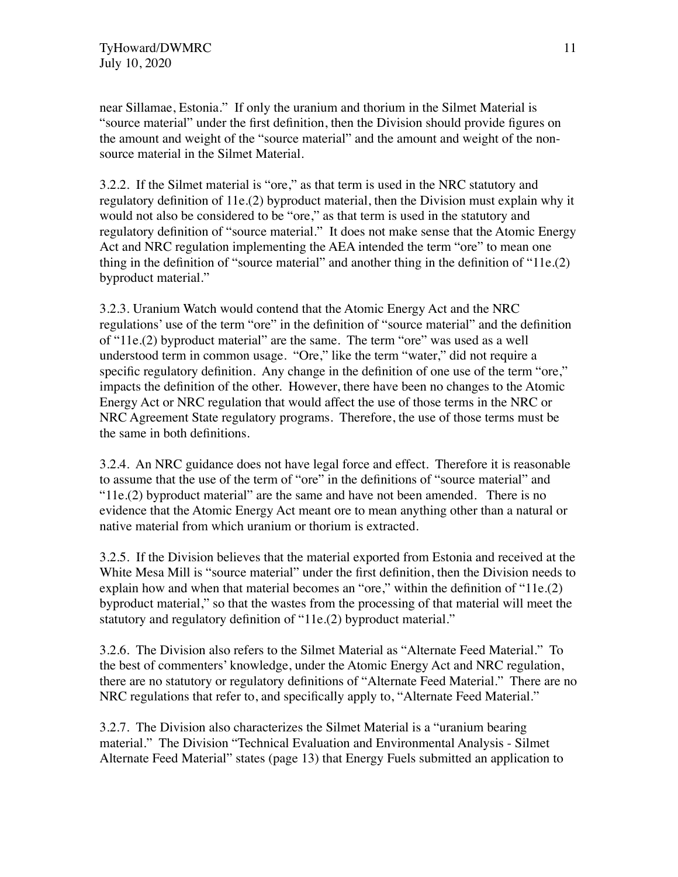near Sillamae, Estonia." If only the uranium and thorium in the Silmet Material is "source material" under the first definition, then the Division should provide figures on the amount and weight of the "source material" and the amount and weight of the nonsource material in the Silmet Material.

3.2.2. If the Silmet material is "ore," as that term is used in the NRC statutory and regulatory definition of 11e.(2) byproduct material, then the Division must explain why it would not also be considered to be "ore," as that term is used in the statutory and regulatory definition of "source material." It does not make sense that the Atomic Energy Act and NRC regulation implementing the AEA intended the term "ore" to mean one thing in the definition of "source material" and another thing in the definition of "11e.(2) byproduct material."

3.2.3. Uranium Watch would contend that the Atomic Energy Act and the NRC regulations' use of the term "ore" in the definition of "source material" and the definition of "11e.(2) byproduct material" are the same. The term "ore" was used as a well understood term in common usage. "Ore," like the term "water," did not require a specific regulatory definition. Any change in the definition of one use of the term "ore," impacts the definition of the other. However, there have been no changes to the Atomic Energy Act or NRC regulation that would affect the use of those terms in the NRC or NRC Agreement State regulatory programs. Therefore, the use of those terms must be the same in both definitions.

3.2.4. An NRC guidance does not have legal force and effect. Therefore it is reasonable to assume that the use of the term of "ore" in the definitions of "source material" and "11e.(2) byproduct material" are the same and have not been amended. There is no evidence that the Atomic Energy Act meant ore to mean anything other than a natural or native material from which uranium or thorium is extracted.

3.2.5. If the Division believes that the material exported from Estonia and received at the White Mesa Mill is "source material" under the first definition, then the Division needs to explain how and when that material becomes an "ore," within the definition of "11e.(2) byproduct material," so that the wastes from the processing of that material will meet the statutory and regulatory definition of "11e.(2) byproduct material."

3.2.6. The Division also refers to the Silmet Material as "Alternate Feed Material." To the best of commenters' knowledge, under the Atomic Energy Act and NRC regulation, there are no statutory or regulatory definitions of "Alternate Feed Material." There are no NRC regulations that refer to, and specifically apply to, "Alternate Feed Material."

3.2.7. The Division also characterizes the Silmet Material is a "uranium bearing material." The Division "Technical Evaluation and Environmental Analysis - Silmet Alternate Feed Material" states (page 13) that Energy Fuels submitted an application to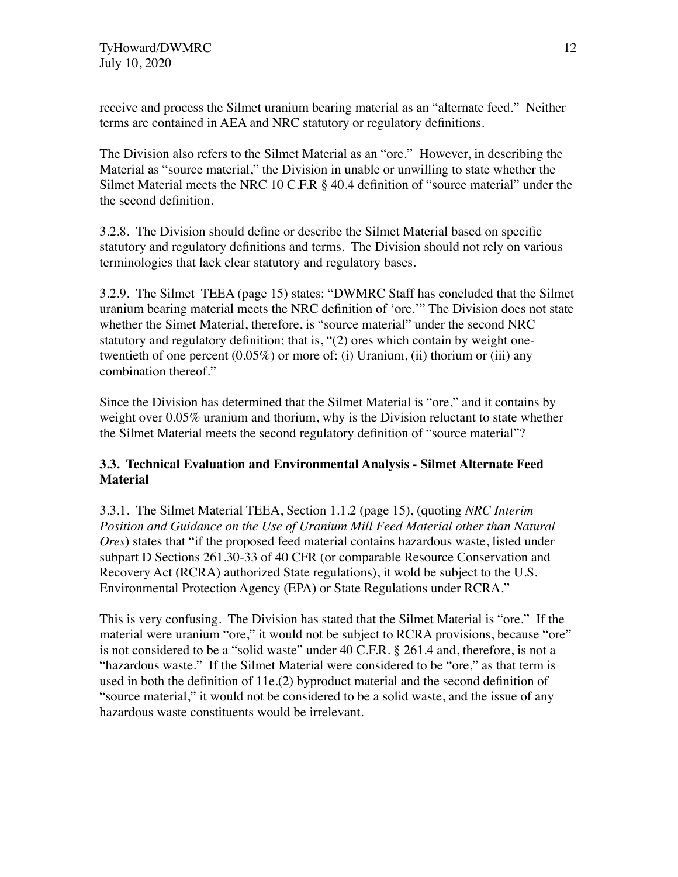receive and process the Silmet uranium bearing material as an "alternate feed." Neither terms are contained in AEA and NRC statutory or regulatory definitions.

The Division also refers to the Silmet Material as an "ore." However, in describing the Material as "source material," the Division in unable or unwilling to state whether the Silmet Material meets the NRC 10 C.F.R § 40.4 definition of "source material" under the the second definition.

3.2.8. The Division should define or describe the Silmet Material based on specific statutory and regulatory definitions and terms. The Division should not rely on various terminologies that lack clear statutory and regulatory bases.

3.2.9. The Silmet TEEA (page 15) states: "DWMRC Staff has concluded that the Silmet uranium bearing material meets the NRC definition of 'ore.'" The Division does not state whether the Simet Material, therefore, is "source material" under the second NRC statutory and regulatory definition; that is, "(2) ores which contain by weight onetwentieth of one percent  $(0.05\%)$  or more of: (i) Uranium, (ii) thorium or (iii) any combination thereof."

Since the Division has determined that the Silmet Material is "ore," and it contains by weight over 0.05% uranium and thorium, why is the Division reluctant to state whether the Silmet Material meets the second regulatory definition of "source material"?

# **3.3. Technical Evaluation and Environmental Analysis - Silmet Alternate Feed Material**

3.3.1. The Silmet Material TEEA, Section 1.1.2 (page 15), (quoting *NRC Interim Position and Guidance on the Use of Uranium Mill Feed Material other than Natural Ores*) states that "if the proposed feed material contains hazardous waste, listed under subpart D Sections 261.30-33 of 40 CFR (or comparable Resource Conservation and Recovery Act (RCRA) authorized State regulations), it wold be subject to the U.S. Environmental Protection Agency (EPA) or State Regulations under RCRA."

This is very confusing. The Division has stated that the Silmet Material is "ore." If the material were uranium "ore," it would not be subject to RCRA provisions, because "ore" is not considered to be a "solid waste" under 40 C.F.R. § 261.4 and, therefore, is not a "hazardous waste." If the Silmet Material were considered to be "ore," as that term is used in both the definition of 11e.(2) byproduct material and the second definition of "source material," it would not be considered to be a solid waste, and the issue of any hazardous waste constituents would be irrelevant.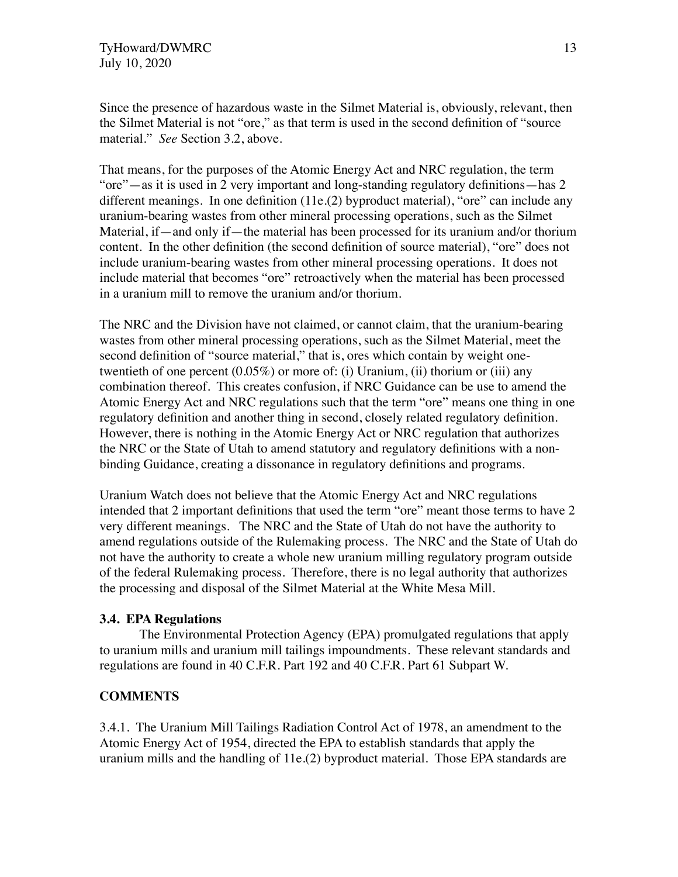Since the presence of hazardous waste in the Silmet Material is, obviously, relevant, then the Silmet Material is not "ore," as that term is used in the second definition of "source material." *See* Section 3.2, above.

That means, for the purposes of the Atomic Energy Act and NRC regulation, the term "ore"—as it is used in 2 very important and long-standing regulatory definitions—has 2 different meanings. In one definition (11e.(2) byproduct material), "ore" can include any uranium-bearing wastes from other mineral processing operations, such as the Silmet Material, if—and only if—the material has been processed for its uranium and/or thorium content. In the other definition (the second definition of source material), "ore" does not include uranium-bearing wastes from other mineral processing operations. It does not include material that becomes "ore" retroactively when the material has been processed in a uranium mill to remove the uranium and/or thorium.

The NRC and the Division have not claimed, or cannot claim, that the uranium-bearing wastes from other mineral processing operations, such as the Silmet Material, meet the second definition of "source material," that is, ores which contain by weight onetwentieth of one percent (0.05%) or more of: (i) Uranium, (ii) thorium or (iii) any combination thereof. This creates confusion, if NRC Guidance can be use to amend the Atomic Energy Act and NRC regulations such that the term "ore" means one thing in one regulatory definition and another thing in second, closely related regulatory definition. However, there is nothing in the Atomic Energy Act or NRC regulation that authorizes the NRC or the State of Utah to amend statutory and regulatory definitions with a nonbinding Guidance, creating a dissonance in regulatory definitions and programs.

Uranium Watch does not believe that the Atomic Energy Act and NRC regulations intended that 2 important definitions that used the term "ore" meant those terms to have 2 very different meanings. The NRC and the State of Utah do not have the authority to amend regulations outside of the Rulemaking process. The NRC and the State of Utah do not have the authority to create a whole new uranium milling regulatory program outside of the federal Rulemaking process. Therefore, there is no legal authority that authorizes the processing and disposal of the Silmet Material at the White Mesa Mill.

## **3.4. EPA Regulations**

The Environmental Protection Agency (EPA) promulgated regulations that apply to uranium mills and uranium mill tailings impoundments. These relevant standards and regulations are found in 40 C.F.R. Part 192 and 40 C.F.R. Part 61 Subpart W.

## **COMMENTS**

3.4.1. The Uranium Mill Tailings Radiation Control Act of 1978, an amendment to the Atomic Energy Act of 1954, directed the EPA to establish standards that apply the uranium mills and the handling of 11e.(2) byproduct material. Those EPA standards are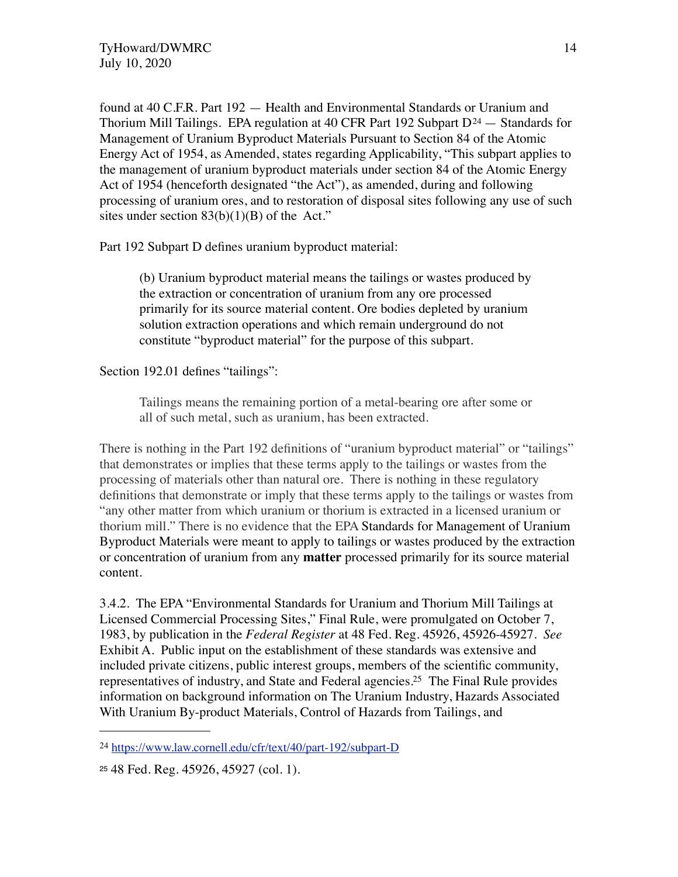found at 40 C.F.R. Part 192 — Health and Environmental Standards or Uranium and Thorium Mill Tailings. EPA regulation at 40 CFR Part 192 Subpart  $D^{24}$  $D^{24}$  $D^{24}$  – Standards for Management of Uranium Byproduct Materials Pursuant to Section 84 of the Atomic Energy Act of 1954, as Amended, states regarding Applicability, "This subpart applies to the management of uranium byproduct materials under section 84 of the Atomic Energy Act of 1954 (henceforth designated "the Act"), as amended, during and following processing of uranium ores, and to restoration of disposal sites following any use of such sites under section  $83(b)(1)(B)$  of the Act."

Part 192 Subpart D defines uranium byproduct material:

(b) Uranium byproduct material means the tailings or wastes produced by the extraction or concentration of uranium from any ore processed primarily for its source material content. Ore bodies depleted by uranium solution extraction operations and which remain underground do not constitute "byproduct material" for the purpose of this subpart.

Section 192.01 defines "tailings":

Tailings means the remaining portion of a metal-bearing ore after some or all of such metal, such as uranium, has been extracted.

There is nothing in the Part 192 definitions of "uranium byproduct material" or "tailings" that demonstrates or implies that these terms apply to the tailings or wastes from the processing of materials other than natural ore. There is nothing in these regulatory definitions that demonstrate or imply that these terms apply to the tailings or wastes from "any other matter from which uranium or thorium is extracted in a licensed uranium or thorium mill." There is no evidence that the EPA Standards for Management of Uranium Byproduct Materials were meant to apply to tailings or wastes produced by the extraction or concentration of uranium from any **matter** processed primarily for its source material content.

3.4.2. The EPA "Environmental Standards for Uranium and Thorium Mill Tailings at Licensed Commercial Processing Sites," Final Rule, were promulgated on October 7, 1983, by publication in the *Federal Register* at 48 Fed. Reg. 45926, 45926-45927. *See*  Exhibit A. Public input on the establishment of these standards was extensive and included private citizens, public interest groups, members of the scientific community, representatives of industry, and State and Federal agencies[.25](#page-13-1) The Final Rule provides information on background information on The Uranium Industry, Hazards Associated With Uranium By-product Materials, Control of Hazards from Tailings, and

<span id="page-13-0"></span><sup>24</sup> <https://www.law.cornell.edu/cfr/text/40/part-192/subpart-D>

<span id="page-13-1"></span><sup>25</sup> 48 Fed. Reg. 45926, 45927 (col. 1).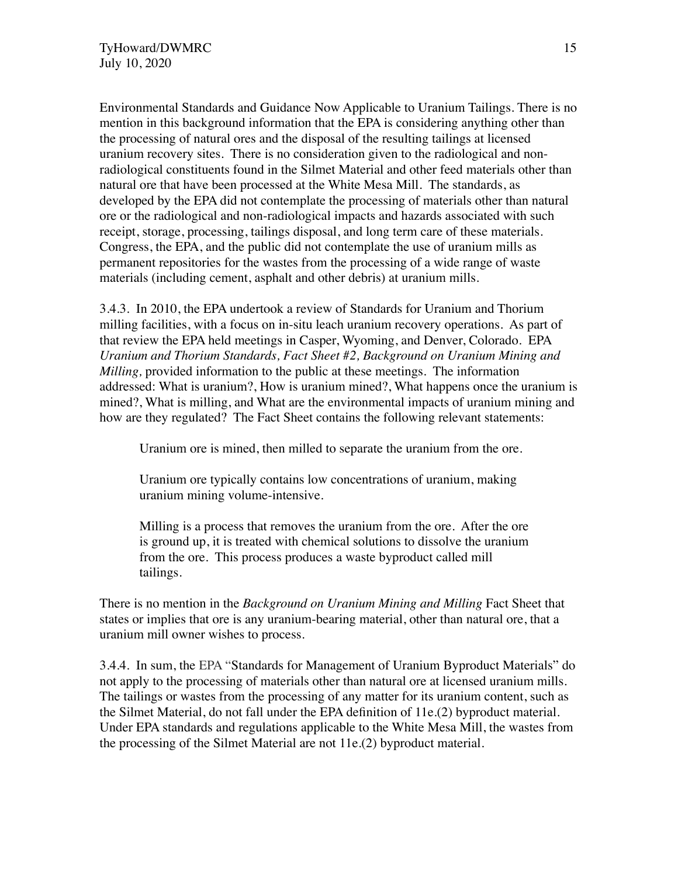Environmental Standards and Guidance Now Applicable to Uranium Tailings. There is no mention in this background information that the EPA is considering anything other than the processing of natural ores and the disposal of the resulting tailings at licensed uranium recovery sites. There is no consideration given to the radiological and nonradiological constituents found in the Silmet Material and other feed materials other than natural ore that have been processed at the White Mesa Mill. The standards, as developed by the EPA did not contemplate the processing of materials other than natural ore or the radiological and non-radiological impacts and hazards associated with such receipt, storage, processing, tailings disposal, and long term care of these materials. Congress, the EPA, and the public did not contemplate the use of uranium mills as permanent repositories for the wastes from the processing of a wide range of waste materials (including cement, asphalt and other debris) at uranium mills.

3.4.3. In 2010, the EPA undertook a review of Standards for Uranium and Thorium milling facilities, with a focus on in-situ leach uranium recovery operations. As part of that review the EPA held meetings in Casper, Wyoming, and Denver, Colorado. EPA *Uranium and Thorium Standards, Fact Sheet #2, Background on Uranium Mining and Milling,* provided information to the public at these meetings. The information addressed: What is uranium?, How is uranium mined?, What happens once the uranium is mined?, What is milling, and What are the environmental impacts of uranium mining and how are they regulated? The Fact Sheet contains the following relevant statements:

Uranium ore is mined, then milled to separate the uranium from the ore.

Uranium ore typically contains low concentrations of uranium, making uranium mining volume-intensive.

Milling is a process that removes the uranium from the ore. After the ore is ground up, it is treated with chemical solutions to dissolve the uranium from the ore. This process produces a waste byproduct called mill tailings.

There is no mention in the *Background on Uranium Mining and Milling* Fact Sheet that states or implies that ore is any uranium-bearing material, other than natural ore, that a uranium mill owner wishes to process.

3.4.4. In sum, the EPA "Standards for Management of Uranium Byproduct Materials" do not apply to the processing of materials other than natural ore at licensed uranium mills. The tailings or wastes from the processing of any matter for its uranium content, such as the Silmet Material, do not fall under the EPA definition of 11e.(2) byproduct material. Under EPA standards and regulations applicable to the White Mesa Mill, the wastes from the processing of the Silmet Material are not 11e.(2) byproduct material.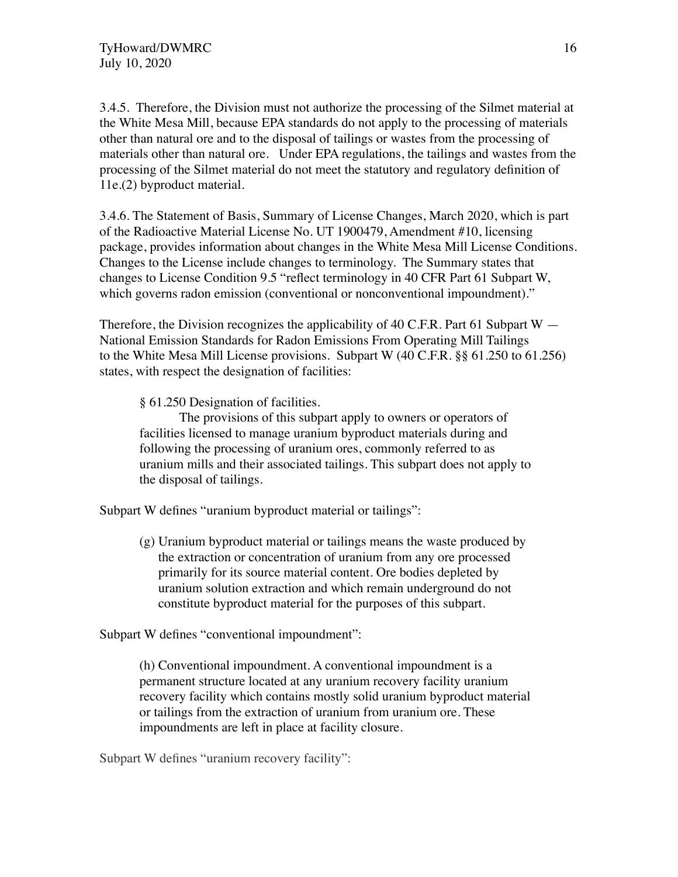3.4.5. Therefore, the Division must not authorize the processing of the Silmet material at the White Mesa Mill, because EPA standards do not apply to the processing of materials other than natural ore and to the disposal of tailings or wastes from the processing of materials other than natural ore. Under EPA regulations, the tailings and wastes from the processing of the Silmet material do not meet the statutory and regulatory definition of 11e.(2) byproduct material.

3.4.6. The Statement of Basis, Summary of License Changes, March 2020, which is part of the Radioactive Material License No. UT 1900479, Amendment #10, licensing package, provides information about changes in the White Mesa Mill License Conditions. Changes to the License include changes to terminology. The Summary states that changes to License Condition 9.5 "reflect terminology in 40 CFR Part 61 Subpart W, which governs radon emission (conventional or nonconventional impoundment)."

Therefore, the Division recognizes the applicability of 40 C.F.R. Part 61 Subpart  $W -$ National Emission Standards for Radon Emissions From Operating Mill Tailings to the White Mesa Mill License provisions. Subpart W (40 C.F.R. §§ 61.250 to 61.256) states, with respect the designation of facilities:

§ 61.250 Designation of facilities.

The provisions of this subpart apply to owners or operators of facilities licensed to manage uranium byproduct materials during and following the processing of uranium ores, commonly referred to as uranium mills and their associated tailings. This subpart does not apply to the disposal of tailings.

Subpart W defines "uranium byproduct material or tailings":

(g) Uranium byproduct material or tailings means the waste produced by the extraction or concentration of uranium from any ore processed primarily for its source material content. Ore bodies depleted by uranium solution extraction and which remain underground do not constitute byproduct material for the purposes of this subpart.

Subpart W defines "conventional impoundment":

(h) Conventional impoundment. A conventional impoundment is a permanent structure located at any uranium recovery facility uranium recovery facility which contains mostly solid uranium byproduct material or tailings from the extraction of uranium from uranium ore. These impoundments are left in place at facility closure.

Subpart W defines "uranium recovery facility":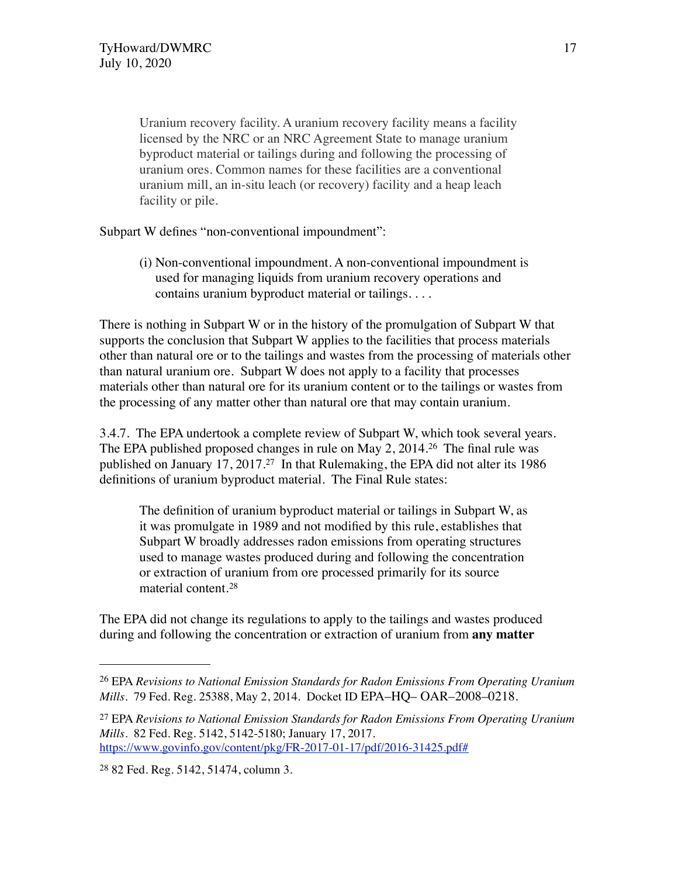Uranium recovery facility. A uranium recovery facility means a facility licensed by the NRC or an NRC Agreement State to manage uranium byproduct material or tailings during and following the processing of uranium ores. Common names for these facilities are a conventional uranium mill, an in-situ leach (or recovery) facility and a heap leach facility or pile.

Subpart W defines "non-conventional impoundment":

(i) Non-conventional impoundment. A non-conventional impoundment is used for managing liquids from uranium recovery operations and contains uranium byproduct material or tailings. . . .

There is nothing in Subpart W or in the history of the promulgation of Subpart W that supports the conclusion that Subpart W applies to the facilities that process materials other than natural ore or to the tailings and wastes from the processing of materials other than natural uranium ore. Subpart W does not apply to a facility that processes materials other than natural ore for its uranium content or to the tailings or wastes from the processing of any matter other than natural ore that may contain uranium.

3.4.7. The EPA undertook a complete review of Subpart W, which took several years. The EPA published proposed changes in rule on May 2, 2014.[26](#page-16-0) The final rule was published on January 17, 2017.[27](#page-16-1) In that Rulemaking, the EPA did not alter its 1986 definitions of uranium byproduct material. The Final Rule states:

The definition of uranium byproduct material or tailings in Subpart W, as it was promulgate in 1989 and not modified by this rule, establishes that Subpart W broadly addresses radon emissions from operating structures used to manage wastes produced during and following the concentration or extraction of uranium from ore processed primarily for its source material content.[28](#page-16-2)

The EPA did not change its regulations to apply to the tailings and wastes produced during and following the concentration or extraction of uranium from **any matter** 

<span id="page-16-0"></span><sup>26</sup> EPA *Revisions to National Emission Standards for Radon Emissions From Operating Uranium Mills*. 79 Fed. Reg. 25388, May 2, 2014. Docket ID EPA–HQ– OAR–2008–0218.

<span id="page-16-1"></span><sup>27</sup> EPA *Revisions to National Emission Standards for Radon Emissions From Operating Uranium Mills*. 82 Fed. Reg. 5142, 5142-5180; January 17, 2017. <https://www.govinfo.gov/content/pkg/FR-2017-01-17/pdf/2016-31425.pdf#>

<span id="page-16-2"></span><sup>28</sup> 82 Fed. Reg. 5142, 51474, column 3.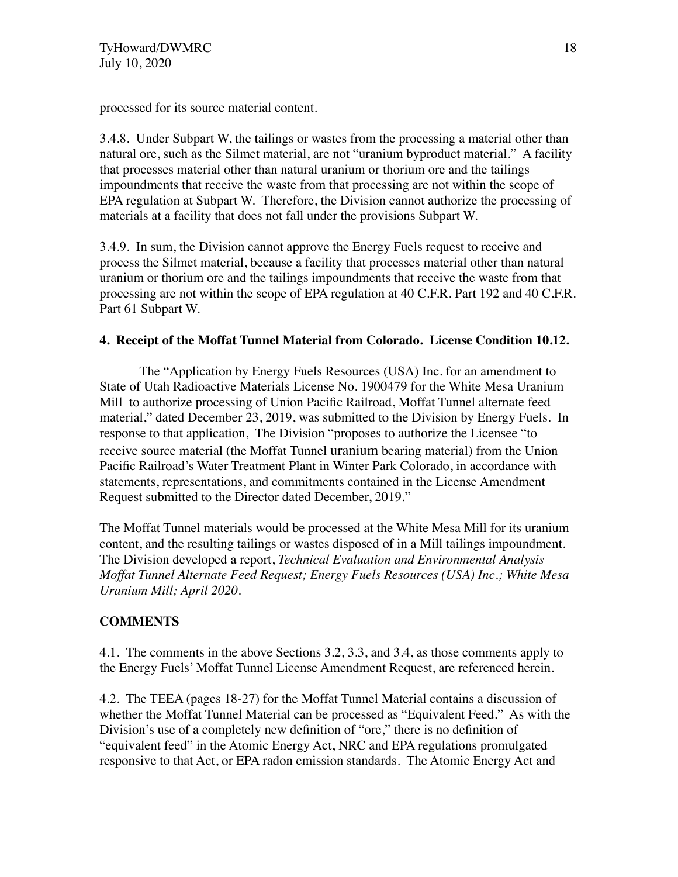processed for its source material content.

3.4.8. Under Subpart W, the tailings or wastes from the processing a material other than natural ore, such as the Silmet material, are not "uranium byproduct material." A facility that processes material other than natural uranium or thorium ore and the tailings impoundments that receive the waste from that processing are not within the scope of EPA regulation at Subpart W. Therefore, the Division cannot authorize the processing of materials at a facility that does not fall under the provisions Subpart W.

3.4.9. In sum, the Division cannot approve the Energy Fuels request to receive and process the Silmet material, because a facility that processes material other than natural uranium or thorium ore and the tailings impoundments that receive the waste from that processing are not within the scope of EPA regulation at 40 C.F.R. Part 192 and 40 C.F.R. Part 61 Subpart W.

## **4. Receipt of the Moffat Tunnel Material from Colorado. License Condition 10.12.**

The "Application by Energy Fuels Resources (USA) Inc. for an amendment to State of Utah Radioactive Materials License No. 1900479 for the White Mesa Uranium Mill to authorize processing of Union Pacific Railroad, Moffat Tunnel alternate feed material," dated December 23, 2019, was submitted to the Division by Energy Fuels. In response to that application, The Division "proposes to authorize the Licensee "to receive source material (the Moffat Tunnel uranium bearing material) from the Union Pacific Railroad's Water Treatment Plant in Winter Park Colorado, in accordance with statements, representations, and commitments contained in the License Amendment Request submitted to the Director dated December, 2019."

The Moffat Tunnel materials would be processed at the White Mesa Mill for its uranium content, and the resulting tailings or wastes disposed of in a Mill tailings impoundment. The Division developed a report, *Technical Evaluation and Environmental Analysis Moffat Tunnel Alternate Feed Request; Energy Fuels Resources (USA) Inc.; White Mesa Uranium Mill; April 2020*.

# **COMMENTS**

4.1. The comments in the above Sections 3.2, 3.3, and 3.4, as those comments apply to the Energy Fuels' Moffat Tunnel License Amendment Request, are referenced herein.

4.2. The TEEA (pages 18-27) for the Moffat Tunnel Material contains a discussion of whether the Moffat Tunnel Material can be processed as "Equivalent Feed." As with the Division's use of a completely new definition of "ore," there is no definition of "equivalent feed" in the Atomic Energy Act, NRC and EPA regulations promulgated responsive to that Act, or EPA radon emission standards. The Atomic Energy Act and